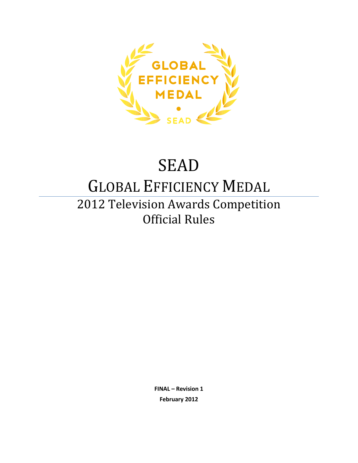

# SEAD

## GLOBAL EFFICIENCY MEDAL

## 2012 Television Awards Competition Official Rules

**FINAL – Revision 1 February 2012**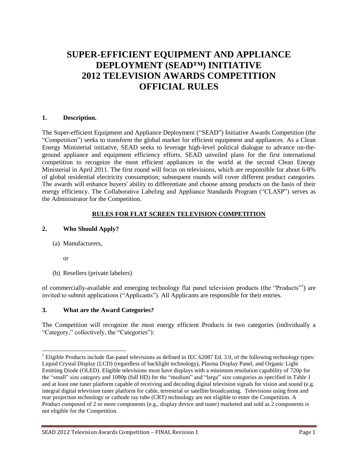## **SUPER-EFFICIENT EQUIPMENT AND APPLIANCE DEPLOYMENT (SEAD™) INITIATIVE 2012 TELEVISION AWARDS COMPETITION OFFICIAL RULES**

#### **1. Description.**

The Super-efficient Equipment and Appliance Deployment ("SEAD") Initiative Awards Competition (the "Competition") seeks to transform the global market for efficient equipment and appliances. As a Clean Energy Ministerial initiative, SEAD seeks to leverage high-level political dialogue to advance on-theground appliance and equipment efficiency efforts. SEAD unveiled plans for the first international competition to recognize the most efficient appliances in the world at the second Clean Energy Ministerial in April 2011. The first round will focus on televisions, which are responsible for about 6-8% of global residential electricity consumption; subsequent rounds will cover different product categories. The awards will enhance buyers' ability to differentiate and choose among products on the basis of their energy efficiency. The Collaborative Labeling and Appliance Standards Program ("CLASP") serves as the Administrator for the Competition.

#### **RULES FOR FLAT SCREEN TELEVISION COMPETITION**

#### **2. Who Should Apply?**

(a) Manufacturers,

or

 $\overline{a}$ 

(b) Resellers (private labelers)

of commercially-available and emerging technology flat panel television products (the "Products"<sup>1</sup>) are invited to submit applications ("Applicants"). All Applicants are responsible for their entries.

#### **3. What are the Award Categories?**

The Competition will recognize the most energy efficient Products in two categories (individually a "Category," collectively, the "Categories"):

 $1$  Eligible Products include flat-panel televisions as defined in IEC 62087 Ed. 3.0, of the following technology types: Liquid Crystal Display (LCD) (regardless of backlight technology), Plasma Display Panel, and Organic Light Emitting Diode (OLED). Eligible televisions must have displays with a minimum resolution capability of 720p for the "small" size category and 1080p (full HD) for the "medium" and "large" size categories as specified in Table 1 and at least one tuner platform capable of receiving and decoding digital television signals for vision and sound (e.g. integral digital television tuner platform for cable, terrestrial or satellite broadcasting. Televisions using front and rear projection technology or cathode ray tube (CRT) technology are not eligible to enter the Competition. A Product composed of 2 or more components (e.g., display device and tuner) marketed and sold as 2 components is not eligible for the Competition.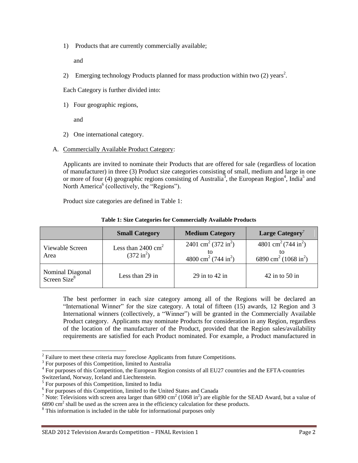1) Products that are currently commercially available;

and

2) Emerging technology Products planned for mass production within two  $(2)$  years<sup>2</sup>.

Each Category is further divided into:

1) Four geographic regions,

and

- 2) One international category.
- A. Commercially Available Product Category:

Applicants are invited to nominate their Products that are offered for sale (regardless of location of manufacturer) in three (3) Product size categories consisting of small, medium and large in one or more of four (4) geographic regions consisting of Australia<sup>3</sup>, the European Region<sup>4</sup>, India<sup>5</sup> and North America<sup>6</sup> (collectively, the "Regions").

Product size categories are defined in Table 1:

|                                              | <b>Small Category</b>                                 | <b>Medium Category</b>                                                                     | Large Category <sup>7</sup>                                                                 |
|----------------------------------------------|-------------------------------------------------------|--------------------------------------------------------------------------------------------|---------------------------------------------------------------------------------------------|
| Viewable Screen<br>Area                      | Less than $2400 \text{ cm}^2$<br>$(372 \text{ in}^2)$ | 2401 cm <sup>2</sup> (372 in <sup>2</sup> )<br>4800 cm <sup>2</sup> (744 in <sup>2</sup> ) | 4801 cm <sup>2</sup> (744 in <sup>2</sup> )<br>6890 cm <sup>2</sup> (1068 in <sup>2</sup> ) |
| Nominal Diagonal<br>Screen Size <sup>8</sup> | Less than 29 in                                       | 29 in to $42$ in                                                                           | $42$ in to 50 in                                                                            |

#### **Table 1: Size Categories for Commercially Available Products**

The best performer in each size category among all of the Regions will be declared an "International Winner" for the size category. A total of fifteen (15) awards, 12 Region and 3 International winners (collectively, a "Winner") will be granted in the Commercially Available Product category. Applicants may nominate Products for consideration in any Region, regardless of the location of the manufacturer of the Product, provided that the Region sales/availability requirements are satisfied for each Product nominated. For example, a Product manufactured in

 $\overline{a}$ 

<sup>8</sup> This information is included in the table for informational purposes only

 $2^2$  Failure to meet these criteria may foreclose Applicants from future Competitions.

<sup>&</sup>lt;sup>3</sup> For purposes of this Competition, limited to Australia

<sup>&</sup>lt;sup>4</sup> For purposes of this Competition, the European Region consists of all EU27 countries and the EFTA-countries

Switzerland, Norway, Iceland and Liechtenstein.

<sup>&</sup>lt;sup>5</sup> For purposes of this Competition, limited to India

<sup>&</sup>lt;sup>6</sup> For purposes of this Competition, limited to the United States and Canada

<sup>&</sup>lt;sup>7</sup> Note: Televisions with screen area larger than 6890 cm<sup>2</sup> (1068 in<sup>2</sup>) are eligible for the SEAD Award, but a value of  $6890 \text{ cm}^2$  shall be used as the screen area in the efficiency calculation for these products.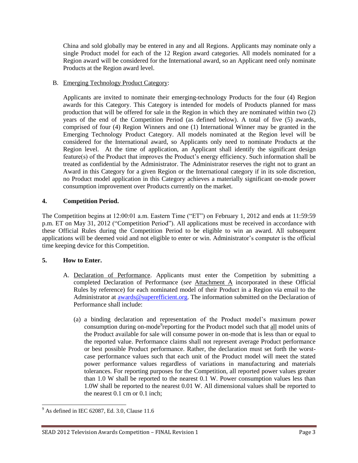China and sold globally may be entered in any and all Regions. Applicants may nominate only a single Product model for each of the 12 Region award categories. All models nominated for a Region award will be considered for the International award, so an Applicant need only nominate Products at the Region award level.

#### B. Emerging Technology Product Category:

Applicants are invited to nominate their emerging-technology Products for the four (4) Region awards for this Category. This Category is intended for models of Products planned for mass production that will be offered for sale in the Region in which they are nominated within two (2) years of the end of the Competition Period (as defined below). A total of five (5) awards, comprised of four (4) Region Winners and one (1) International Winner may be granted in the Emerging Technology Product Category. All models nominated at the Region level will be considered for the International award, so Applicants only need to nominate Products at the Region level. At the time of application, an Applicant shall identify the significant design feature(s) of the Product that improves the Product's energy efficiency. Such information shall be treated as confidential by the Administrator. The Administrator reserves the right not to grant an Award in this Category for a given Region or the International category if in its sole discretion, no Product model application in this Category achieves a materially significant on-mode power consumption improvement over Products currently on the market.

#### **4. Competition Period.**

The Competition begins at 12:00:01 a.m. Eastern Time ("ET") on February 1, 2012 and ends at 11:59:59 p.m. ET on May 31, 2012 ("Competition Period"). All applications must be received in accordance with these Official Rules during the Competition Period to be eligible to win an award. All subsequent applications will be deemed void and not eligible to enter or win. Administrator's computer is the official time keeping device for this Competition.

#### **5. How to Enter.**

- A. Declaration of Performance. Applicants must enter the Competition by submitting a completed Declaration of Performance (*see* Attachment A incorporated in these Official Rules by reference) for each nominated model of their Product in a Region via email to the Administrator at [awards@superefficient.org.](mailto:awards@superefficient.org) The information submitted on the Declaration of Performance shall include:
	- (a) a binding declaration and representation of the Product model's maximum power consumption during on-mode reporting for the Product model such that all model units of the Product available for sale will consume power in on-mode that is less than or equal to the reported value. Performance claims shall not represent average Product performance or best possible Product performance. Rather, the declaration must set forth the worstcase performance values such that each unit of the Product model will meet the stated power performance values regardless of variations in manufacturing and materials tolerances. For reporting purposes for the Competition, all reported power values greater than 1.0 W shall be reported to the nearest 0.1 W. Power consumption values less than 1.0W shall be reported to the nearest 0.01 W. All dimensional values shall be reported to the nearest 0.1 cm or 0.1 inch;

 $\overline{a}$  $9^9$  As defined in IEC 62087, Ed. 3.0, Clause 11.6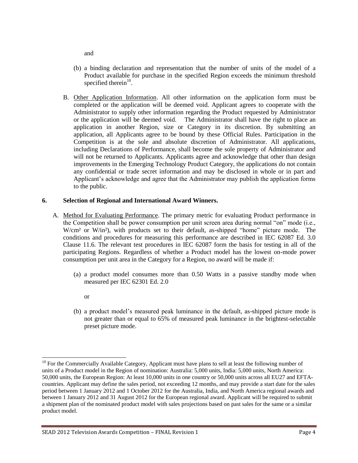and

- (b) a binding declaration and representation that the number of units of the model of a Product available for purchase in the specified Region exceeds the minimum threshold specified therein $10$ .
- B. Other Application Information. All other information on the application form must be completed or the application will be deemed void. Applicant agrees to cooperate with the Administrator to supply other information regarding the Product requested by Administrator or the application will be deemed void. The Administrator shall have the right to place an application in another Region, size or Category in its discretion. By submitting an application, all Applicants agree to be bound by these Official Rules. Participation in the Competition is at the sole and absolute discretion of Administrator. All applications, including Declarations of Performance, shall become the sole property of Administrator and will not be returned to Applicants. Applicants agree and acknowledge that other than design improvements in the Emerging Technology Product Category, the applications do not contain any confidential or trade secret information and may be disclosed in whole or in part and Applicant's acknowledge and agree that the Administrator may publish the application forms to the public.

#### **6. Selection of Regional and International Award Winners.**

- A. Method for Evaluating Performance. The primary metric for evaluating Product performance in the Competition shall be power consumption per unit screen area during normal "on" mode (i.e., W/cm<sup>2</sup> or W/in<sup>2</sup>), with products set to their default, as-shipped "home" picture mode. The conditions and procedures for measuring this performance are described in IEC 62087 Ed. 3.0 Clause 11.6. The relevant test procedures in IEC 62087 form the basis for testing in all of the participating Regions. Regardless of whether a Product model has the lowest on-mode power consumption per unit area in the Category for a Region, no award will be made if:
	- (a) a product model consumes more than 0.50 Watts in a passive standby mode when measured per IEC 62301 Ed. 2.0
		- or
	- (b) a product model's measured peak luminance in the default, as-shipped picture mode is not greater than or equal to 65% of measured peak luminance in the brightest-selectable preset picture mode.

l <sup>10</sup> For the Commercially Available Category, Applicant must have plans to sell at least the following number of units of a Product model in the Region of nomination: Australia: 5,000 units, India: 5,000 units, North America: 50,000 units, the European Region: At least 10,000 units in one country or 50,000 units across all EU27 and EFTAcountries. Applicant may define the sales period, not exceeding 12 months, and may provide a start date for the sales period between 1 January 2012 and 1 October 2012 for the Australia, India, and North America regional awards and between 1 January 2012 and 31 August 2012 for the European regional award. Applicant will be required to submit a shipment plan of the nominated product model with sales projections based on past sales for the same or a similar product model.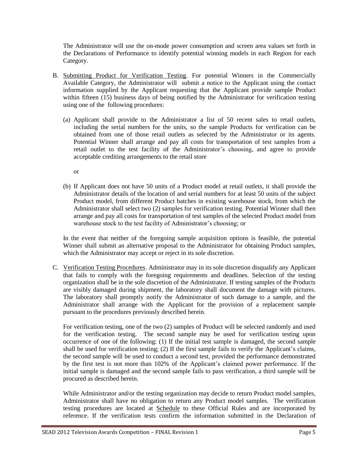The Administrator will use the on-mode power consumption and screen area values set forth in the Declarations of Performance to identify potential winning models in each Region for each Category.

- B. Submitting Product for Verification Testing. For potential Winners in the Commercially Available Category, the Administrator will submit a notice to the Applicant using the contact information supplied by the Applicant requesting that the Applicant provide sample Product within fifteen (15) business days of being notified by the Administrator for verification testing using one of the following procedures:
	- (a) Applicant shall provide to the Administrator a list of 50 recent sales to retail outlets, including the serial numbers for the units, so the sample Products for verification can be obtained from one of those retail outlets as selected by the Administrator or its agents. Potential Winner shall arrange and pay all costs for transportation of test samples from a retail outlet to the test facility of the Administrator's choosing, and agree to provide acceptable crediting arrangements to the retail store
		- or
	- (b) If Applicant does not have 50 units of a Product model at retail outlets, it shall provide the Administrator details of the location of and serial numbers for at least 50 units of the subject Product model, from different Product batches in existing warehouse stock, from which the Administrator shall select two (2) samples for verification testing. Potential Winner shall then arrange and pay all costs for transportation of test samples of the selected Product model from warehouse stock to the test facility of Administrator's choosing; or

In the event that neither of the foregoing sample acquisition options is feasible, the potential Winner shall submit an alternative proposal to the Administrator for obtaining Product samples, which the Administrator may accept or reject in its sole discretion.

C. Verification Testing Procedures. Administrator may in its sole discretion disqualify any Applicant that fails to comply with the foregoing requirements and deadlines. Selection of the testing organization shall be in the sole discretion of the Administrator. If testing samples of the Products are visibly damaged during shipment, the laboratory shall document the damage with pictures. The laboratory shall promptly notify the Administrator of such damage to a sample, and the Administrator shall arrange with the Applicant for the provision of a replacement sample pursuant to the procedures previously described herein.

For verification testing, one of the two (2) samples of Product will be selected randomly and used for the verification testing. The second sample may be used for verification testing upon occurrence of one of the following: (1) If the initial test sample is damaged, the second sample shall be used for verification testing; (2) If the first sample fails to verify the Applicant's claims, the second sample will be used to conduct a second test, provided the performance demonstrated by the first test is not more than 102% of the Applicant's claimed power performance. If the initial sample is damaged and the second sample fails to pass verification, a third sample will be procured as described herein.

While Administrator and/or the testing organization may decide to return Product model samples, Administrator shall have no obligation to return any Product model samples. The verification testing procedures are located at Schedule to these Official Rules and are incorporated by reference. If the verification tests confirm the information submitted in the Declaration of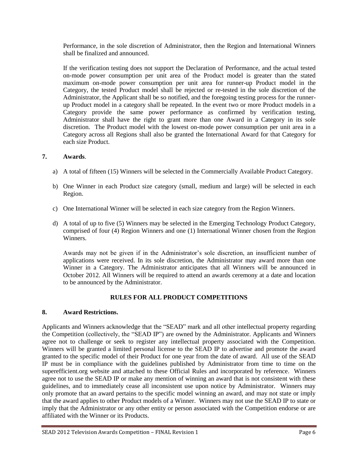Performance, in the sole discretion of Administrator, then the Region and International Winners shall be finalized and announced.

If the verification testing does not support the Declaration of Performance, and the actual tested on-mode power consumption per unit area of the Product model is greater than the stated maximum on-mode power consumption per unit area for runner-up Product model in the Category, the tested Product model shall be rejected or re-tested in the sole discretion of the Administrator, the Applicant shall be so notified, and the foregoing testing process for the runnerup Product model in a category shall be repeated. In the event two or more Product models in a Category provide the same power performance as confirmed by verification testing, Administrator shall have the right to grant more than one Award in a Category in its sole discretion. The Product model with the lowest on-mode power consumption per unit area in a Category across all Regions shall also be granted the International Award for that Category for each size Product.

#### **7. Awards**.

- a) A total of fifteen (15) Winners will be selected in the Commercially Available Product Category.
- b) One Winner in each Product size category (small, medium and large) will be selected in each Region.
- c) One International Winner will be selected in each size category from the Region Winners.
- d) A total of up to five (5) Winners may be selected in the Emerging Technology Product Category, comprised of four (4) Region Winners and one (1) International Winner chosen from the Region Winners.

Awards may not be given if in the Administrator's sole discretion, an insufficient number of applications were received. In its sole discretion, the Administrator may award more than one Winner in a Category. The Administrator anticipates that all Winners will be announced in October 2012. All Winners will be required to attend an awards ceremony at a date and location to be announced by the Administrator.

#### **RULES FOR ALL PRODUCT COMPETITIONS**

#### **8. Award Restrictions.**

Applicants and Winners acknowledge that the "SEAD" mark and all other intellectual property regarding the Competition (collectively, the "SEAD IP") are owned by the Administrator. Applicants and Winners agree not to challenge or seek to register any intellectual property associated with the Competition. Winners will be granted a limited personal license to the SEAD IP to advertise and promote the award granted to the specific model of their Product for one year from the date of award. All use of the SEAD IP must be in compliance with the guidelines published by Administrator from time to time on the superefficient.org website and attached to these Official Rules and incorporated by reference. Winners agree not to use the SEAD IP or make any mention of winning an award that is not consistent with these guidelines, and to immediately cease all inconsistent use upon notice by Administrator. Winners may only promote that an award pertains to the specific model winning an award, and may not state or imply that the award applies to other Product models of a Winner. Winners may not use the SEAD IP to state or imply that the Administrator or any other entity or person associated with the Competition endorse or are affiliated with the Winner or its Products.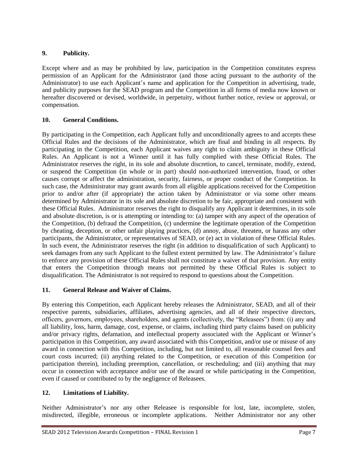#### **9. Publicity.**

Except where and as may be prohibited by law, participation in the Competition constitutes express permission of an Applicant for the Administrator (and those acting pursuant to the authority of the Administrator) to use each Applicant's name and application for the Competition in advertising, trade, and publicity purposes for the SEAD program and the Competition in all forms of media now known or hereafter discovered or devised, worldwide, in perpetuity, without further notice, review or approval, or compensation.

#### **10. General Conditions.**

By participating in the Competition, each Applicant fully and unconditionally agrees to and accepts these Official Rules and the decisions of the Administrator, which are final and binding in all respects. By participating in the Competition, each Applicant waives any right to claim ambiguity in these Official Rules. An Applicant is not a Winner until it has fully complied with these Official Rules. The Administrator reserves the right, in its sole and absolute discretion, to cancel, terminate, modify, extend, or suspend the Competition (in whole or in part) should non-authorized intervention, fraud, or other causes corrupt or affect the administration, security, fairness, or proper conduct of the Competition. In such case, the Administrator may grant awards from all eligible applications received for the Competition prior to and/or after (if appropriate) the action taken by Administrator or via some other means determined by Administrator in its sole and absolute discretion to be fair, appropriate and consistent with these Official Rules. Administrator reserves the right to disqualify any Applicant it determines, in its sole and absolute discretion, is or is attempting or intending to: (a) tamper with any aspect of the operation of the Competition, (b) defraud the Competition, (c) undermine the legitimate operation of the Competition by cheating, deception, or other unfair playing practices, (d) annoy, abuse, threaten, or harass any other participants, the Administrator, or representatives of SEAD, or (e) act in violation of these Official Rules. In such event, the Administrator reserves the right (in addition to disqualification of such Applicant) to seek damages from any such Applicant to the fullest extent permitted by law. The Administrator's failure to enforce any provision of these Official Rules shall not constitute a waiver of that provision. Any entity that enters the Competition through means not permitted by these Official Rules is subject to disqualification. The Administrator is not required to respond to questions about the Competition.

#### **11. General Release and Waiver of Claims.**

By entering this Competition, each Applicant hereby releases the Administrator, SEAD, and all of their respective parents, subsidiaries, affiliates, advertising agencies, and all of their respective directors, officers, governors, employees, shareholders, and agents (collectively, the "Releasees") from: (i) any and all liability, loss, harm, damage, cost, expense, or claims, including third party claims based on publicity and/or privacy rights, defamation, and intellectual property associated with the Applicant or Winner's participation in this Competition, any award associated with this Competition, and/or use or misuse of any award in connection with this Competition, including, but not limited to, all reasonable counsel fees and court costs incurred; (ii) anything related to the Competition, or execution of this Competition (or participation therein), including preemption, cancellation, or rescheduling; and (iii) anything that may occur in connection with acceptance and/or use of the award or while participating in the Competition, even if caused or contributed to by the negligence of Releasees.

#### **12. Limitations of Liability.**

Neither Administrator's nor any other Releasee is responsible for lost, late, incomplete, stolen, misdirected, illegible, erroneous or incomplete applications. Neither Administrator nor any other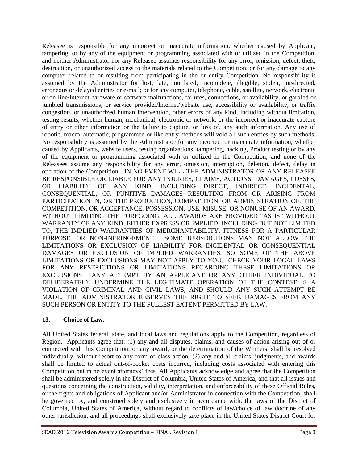Releasee is responsible for any incorrect or inaccurate information, whether caused by Applicant, tampering, or by any of the equipment or programming associated with or utilized in the Competition, and neither Administrator nor any Releasee assumes responsibility for any error, omission, defect, theft, destruction, or unauthorized access to the materials related to the Competition, or for any damage to any computer related to or resulting from participating in the or entity Competition. No responsibility is assumed by the Administrator for lost, late, mutilated, incomplete, illegible, stolen, misdirected, erroneous or delayed entries or e-mail; or for any computer, telephone, cable, satellite, network, electronic or on-line/Internet hardware or software malfunctions, failures, connections, or availability, or garbled or jumbled transmissions, or service provider/Internet/website use, accessibility or availability, or traffic congestion, or unauthorized human intervention, other errors of any kind, including without limitation, testing results, whether human, mechanical, electronic or network, or the incorrect or inaccurate capture of entry or other information or the failure to capture, or loss of, any such information. Any use of robotic, macro, automatic, programmed or like entry methods will void all such entries by such methods. No responsibility is assumed by the Administrator for any incorrect or inaccurate information, whether caused by Applicants, website users, testing organizations, tampering, hacking, Product testing or by any of the equipment or programming associated with or utilized in the Competition; and none of the Releasees assume any responsibility for any error, omission, interruption, deletion, defect, delay in operation of the Competition. IN NO EVENT WILL THE ADMINISTRATOR OR ANY RELEASEE BE RESPONSIBLE OR LIABLE FOR ANY INJURIES, CLAIMS, ACTIONS, DAMAGES, LOSSES, OR LIABILITY OF ANY KIND, INCLUDING DIRECT, INDIRECT, INCIDENTAL, CONSEQUENTIAL, OR PUNITIVE DAMAGES RESULTING FROM OR ARISING FROM PARTICIPATION IN, OR THE PRODUCTION, COMPETITION, OR ADMINISTRATION OF, THE COMPETITION, OR ACCEPTANCE, POSSESSION, USE, MISUSE, OR NONUSE OF AN AWARD. WITHOUT LIMITING THE FOREGOING, ALL AWARDS ARE PROVIDED "AS IS" WITHOUT WARRANTY OF ANY KIND, EITHER EXPRESS OR IMPLIED, INCLUDING BUT NOT LIMITED TO, THE IMPLIED WARRANTIES OF MERCHANTABILITY, FITNESS FOR A PARTICULAR PURPOSE, OR NON-INFRINGEMENT. SOME JURISDICTIONS MAY NOT ALLOW THE LIMITATIONS OR EXCLUSION OF LIABILITY FOR INCIDENTAL OR CONSEQUENTIAL DAMAGES OR EXCLUSION OF IMPLIED WARRANTIES, SO SOME OF THE ABOVE LIMITATIONS OR EXCLUSIONS MAY NOT APPLY TO YOU. CHECK YOUR LOCAL LAWS FOR ANY RESTRICTIONS OR LIMITATIONS REGARDING THESE LIMITATIONS OR EXCLUSIONS. ANY ATTEMPT BY AN APPLICANT OR ANY OTHER INDIVIDUAL TO DELIBERATELY UNDERMINE THE LEGITIMATE OPERATION OF THE CONTEST IS A VIOLATION OF CRIMINAL AND CIVIL LAWS, AND SHOULD ANY SUCH ATTEMPT BE MADE, THE ADMINISTRATOR RESERVES THE RIGHT TO SEEK DAMAGES FROM ANY SUCH PERSON OR ENTITY TO THE FULLEST EXTENT PERMITTED BY LAW.

#### **13. Choice of Law.**

All United States federal, state, and local laws and regulations apply to the Competition, regardless of Region. Applicants agree that: (1) any and all disputes, claims, and causes of action arising out of or connected with this Competition, or any award, or the determination of the Winners, shall be resolved individually, without resort to any form of class action; (2) any and all claims, judgments, and awards shall be limited to actual out-of-pocket costs incurred, including costs associated with entering this Competition but in no event attorneys' fees. All Applicants acknowledge and agree that the Competition shall be administered solely in the District of Columbia, United States of America, and that all issues and questions concerning the construction, validity, interpretation, and enforceability of these Official Rules, or the rights and obligations of Applicant and/or Administrator in connection with the Competition, shall be governed by, and construed solely and exclusively in accordance with, the laws of the District of Columbia, United States of America, without regard to conflicts of law/choice of law doctrine of any other jurisdiction, and all proceedings shall exclusively take place in the United States District Court for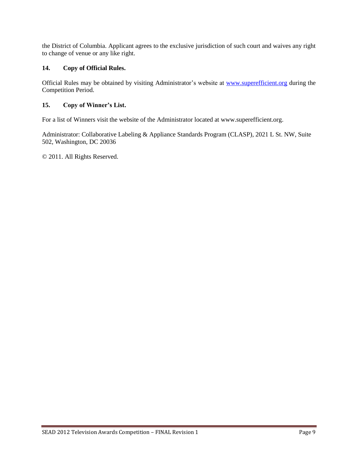the District of Columbia. Applicant agrees to the exclusive jurisdiction of such court and waives any right to change of venue or any like right.

#### **14. Copy of Official Rules.**

Official Rules may be obtained by visiting Administrator's website at [www.superefficient.org](http://www.superefficient.org/) during the Competition Period.

#### **15. Copy of Winner's List.**

For a list of Winners visit the website of the Administrator located at www.superefficient.org.

Administrator: Collaborative Labeling & Appliance Standards Program (CLASP), 2021 L St. NW, Suite 502, Washington, DC 20036

© 2011. All Rights Reserved.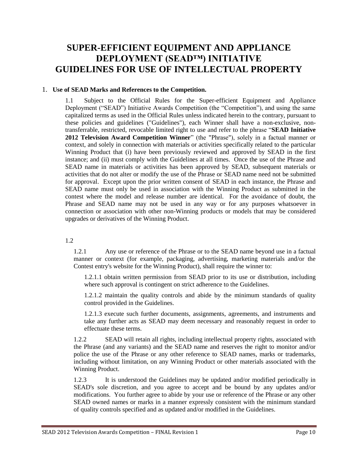### **SUPER-EFFICIENT EQUIPMENT AND APPLIANCE DEPLOYMENT (SEAD™) INITIATIVE GUIDELINES FOR USE OF INTELLECTUAL PROPERTY**

#### 1. **Use of SEAD Marks and References to the Competition.**

1.1 Subject to the Official Rules for the Super-efficient Equipment and Appliance Deployment ("SEAD") Initiative Awards Competition (the "Competition"), and using the same capitalized terms as used in the Official Rules unless indicated herein to the contrary, pursuant to these policies and guidelines ("Guidelines"), each Winner shall have a non-exclusive, nontransferrable, restricted, revocable limited right to use and refer to the phrase "**SEAD Initiative 2012 Television Award Competition Winner**" (the "Phrase"), solely in a factual manner or context, and solely in connection with materials or activities specifically related to the particular Winning Product that (i) have been previously reviewed and approved by SEAD in the first instance; and (ii) must comply with the Guidelines at all times. Once the use of the Phrase and SEAD name in materials or activities has been approved by SEAD, subsequent materials or activities that do not alter or modify the use of the Phrase or SEAD name need not be submitted for approval. Except upon the prior written consent of SEAD in each instance, the Phrase and SEAD name must only be used in association with the Winning Product as submitted in the contest where the model and release number are identical. For the avoidance of doubt, the Phrase and SEAD name may not be used in any way or for any purposes whatsoever in connection or association with other non-Winning products or models that may be considered upgrades or derivatives of the Winning Product.

1.2

1.2.1 Any use or reference of the Phrase or to the SEAD name beyond use in a factual manner or context (for example, packaging, advertising, marketing materials and/or the Contest entry's website for the Winning Product), shall require the winner to:

1.2.1.1 obtain written permission from SEAD prior to its use or distribution, including where such approval is contingent on strict adherence to the Guidelines.

1.2.1.2 maintain the quality controls and abide by the minimum standards of quality control provided in the Guidelines.

1.2.1.3 execute such further documents, assignments, agreements, and instruments and take any further acts as SEAD may deem necessary and reasonably request in order to effectuate these terms.

1.2.2 SEAD will retain all rights, including intellectual property rights, associated with the Phrase (and any variants) and the SEAD name and reserves the right to monitor and/or police the use of the Phrase or any other reference to SEAD names, marks or trademarks, including without limitation, on any Winning Product or other materials associated with the Winning Product.

1.2.3 It is understood the Guidelines may be updated and/or modified periodically in SEAD's sole discretion, and you agree to accept and be bound by any updates and/or modifications. You further agree to abide by your use or reference of the Phrase or any other SEAD owned names or marks in a manner expressly consistent with the minimum standard of quality controls specified and as updated and/or modified in the Guidelines.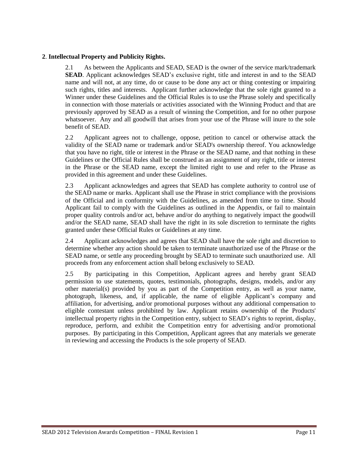#### **2**. **Intellectual Property and Publicity Rights.**

2.1 As between the Applicants and SEAD, SEAD is the owner of the service mark/trademark **SEAD**. Applicant acknowledges SEAD's exclusive right, title and interest in and to the SEAD name and will not, at any time, do or cause to be done any act or thing contesting or impairing such rights, titles and interests. Applicant further acknowledge that the sole right granted to a Winner under these Guidelines and the Official Rules is to use the Phrase solely and specifically in connection with those materials or activities associated with the Winning Product and that are previously approved by SEAD as a result of winning the Competition, and for no other purpose whatsoever. Any and all goodwill that arises from your use of the Phrase will inure to the sole benefit of SEAD.

2.2 Applicant agrees not to challenge, oppose, petition to cancel or otherwise attack the validity of the SEAD name or trademark and/or SEAD's ownership thereof. You acknowledge that you have no right, title or interest in the Phrase or the SEAD name, and that nothing in these Guidelines or the Official Rules shall be construed as an assignment of any right, title or interest in the Phrase or the SEAD name, except the limited right to use and refer to the Phrase as provided in this agreement and under these Guidelines.

2.3 Applicant acknowledges and agrees that SEAD has complete authority to control use of the SEAD name or marks. Applicant shall use the Phrase in strict compliance with the provisions of the Official and in conformity with the Guidelines, as amended from time to time. Should Applicant fail to comply with the Guidelines as outlined in the Appendix, or fail to maintain proper quality controls and/or act, behave and/or do anything to negatively impact the goodwill and/or the SEAD name, SEAD shall have the right in its sole discretion to terminate the rights granted under these Official Rules or Guidelines at any time.

2.4 Applicant acknowledges and agrees that SEAD shall have the sole right and discretion to determine whether any action should be taken to terminate unauthorized use of the Phrase or the SEAD name, or settle any proceeding brought by SEAD to terminate such unauthorized use. All proceeds from any enforcement action shall belong exclusively to SEAD.

2.5 By participating in this Competition, Applicant agrees and hereby grant SEAD permission to use statements, quotes, testimonials, photographs, designs, models, and/or any other material(s) provided by you as part of the Competition entry, as well as your name, photograph, likeness, and, if applicable, the name of eligible Applicant's company and affiliation, for advertising, and/or promotional purposes without any additional compensation to eligible contestant unless prohibited by law. Applicant retains ownership of the Products' intellectual property rights in the Competition entry, subject to SEAD's rights to reprint, display, reproduce, perform, and exhibit the Competition entry for advertising and/or promotional purposes. By participating in this Competition, Applicant agrees that any materials we generate in reviewing and accessing the Products is the sole property of SEAD.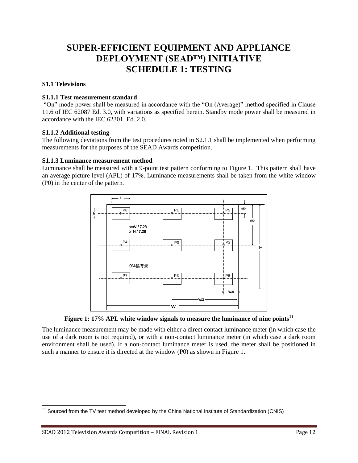## **SUPER-EFFICIENT EQUIPMENT AND APPLIANCE DEPLOYMENT (SEAD™) INITIATIVE SCHEDULE 1: TESTING**

#### **S1.1 Televisions**

#### **S1.1.1 Test measurement standard**

"On" mode power shall be measured in accordance with the "On (Average)" method specified in Clause 11.6 of IEC 62087 Ed. 3.0, with variations as specified herein. Standby mode power shall be measured in accordance with the IEC 62301, Ed. 2.0.

#### **S1.1.2 Additional testing**

The following deviations from the test procedures noted in S2.1.1 shall be implemented when performing measurements for the purposes of the SEAD Awards competition.

#### **S1.1.3 Luminance measurement method**

Luminance shall be measured with a 9-point test pattern conforming to [Figure 1.](#page-12-0) This pattern shall have an average picture level (APL) of 17%. Luminance measurements shall be taken from the white window (P0) in the center of the pattern.



**Figure 1: 17% APL white window signals to measure the luminance of nine points<sup>11</sup>**

<span id="page-12-0"></span>The luminance measurement may be made with either a direct contact luminance meter (in which case the use of a dark room is not required), or with a non-contact luminance meter (in which case a dark room environment shall be used). If a non-contact luminance meter is used, the meter shall be positioned in such a manner to ensure it is directed at the window (P0) as shown i[n Figure 1.](#page-12-0)

 $\overline{a}$  $11$  Sourced from the TV test method developed by the China National Institute of Standardization (CNIS)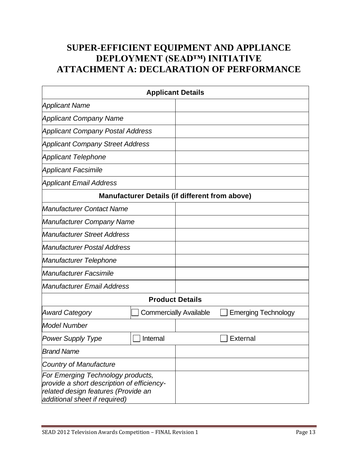## **SUPER-EFFICIENT EQUIPMENT AND APPLIANCE DEPLOYMENT (SEAD™) INITIATIVE ATTACHMENT A: DECLARATION OF PERFORMANCE**

| <b>Applicant Details</b>                                                                                                                                |                                                       |                               |                            |  |  |
|---------------------------------------------------------------------------------------------------------------------------------------------------------|-------------------------------------------------------|-------------------------------|----------------------------|--|--|
| <b>Applicant Name</b>                                                                                                                                   |                                                       |                               |                            |  |  |
| <b>Applicant Company Name</b>                                                                                                                           |                                                       |                               |                            |  |  |
| <b>Applicant Company Postal Address</b>                                                                                                                 |                                                       |                               |                            |  |  |
| <b>Applicant Company Street Address</b>                                                                                                                 |                                                       |                               |                            |  |  |
| <b>Applicant Telephone</b>                                                                                                                              |                                                       |                               |                            |  |  |
| <b>Applicant Facsimile</b>                                                                                                                              |                                                       |                               |                            |  |  |
| <b>Applicant Email Address</b>                                                                                                                          |                                                       |                               |                            |  |  |
|                                                                                                                                                         | <b>Manufacturer Details (if different from above)</b> |                               |                            |  |  |
| <b>Manufacturer Contact Name</b>                                                                                                                        |                                                       |                               |                            |  |  |
| <b>Manufacturer Company Name</b>                                                                                                                        |                                                       |                               |                            |  |  |
| <b>Manufacturer Street Address</b>                                                                                                                      |                                                       |                               |                            |  |  |
| <b>Manufacturer Postal Address</b>                                                                                                                      |                                                       |                               |                            |  |  |
| Manufacturer Telephone                                                                                                                                  |                                                       |                               |                            |  |  |
| <b>Manufacturer Facsimile</b>                                                                                                                           |                                                       |                               |                            |  |  |
| <b>Manufacturer Email Address</b>                                                                                                                       |                                                       |                               |                            |  |  |
|                                                                                                                                                         |                                                       | <b>Product Details</b>        |                            |  |  |
| <b>Award Category</b>                                                                                                                                   |                                                       | <b>Commercially Available</b> | <b>Emerging Technology</b> |  |  |
| <b>Model Number</b>                                                                                                                                     |                                                       |                               |                            |  |  |
| <b>Power Supply Type</b>                                                                                                                                | Internal                                              |                               | External                   |  |  |
| <b>Brand Name</b>                                                                                                                                       |                                                       |                               |                            |  |  |
| <b>Country of Manufacture</b>                                                                                                                           |                                                       |                               |                            |  |  |
| For Emerging Technology products,<br>provide a short description of efficiency-<br>related design features (Provide an<br>additional sheet if required) |                                                       |                               |                            |  |  |